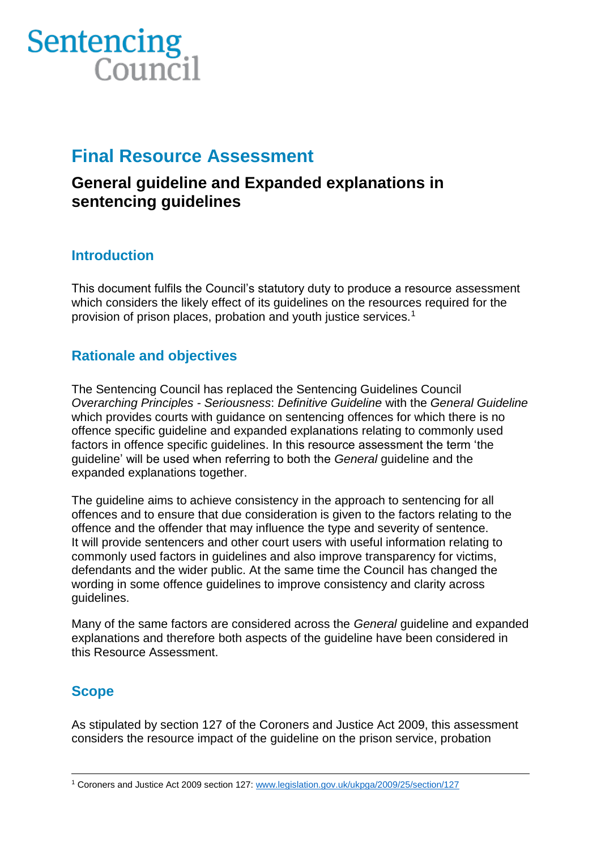

# **Final Resource Assessment**

# **General guideline and Expanded explanations in sentencing guidelines**

# **Introduction**

This document fulfils the Council's statutory duty to produce a resource assessment which considers the likely effect of its guidelines on the resources required for the provision of prison places, probation and youth justice services.<sup>1</sup>

# **Rationale and objectives**

The Sentencing Council has replaced the Sentencing Guidelines Council *Overarching Principles - Seriousness*: *Definitive Guideline* with the *General Guideline* which provides courts with guidance on sentencing offences for which there is no offence specific guideline and expanded explanations relating to commonly used factors in offence specific guidelines. In this resource assessment the term 'the guideline' will be used when referring to both the *General* guideline and the expanded explanations together.

The guideline aims to achieve consistency in the approach to sentencing for all offences and to ensure that due consideration is given to the factors relating to the offence and the offender that may influence the type and severity of sentence. It will provide sentencers and other court users with useful information relating to commonly used factors in guidelines and also improve transparency for victims, defendants and the wider public. At the same time the Council has changed the wording in some offence guidelines to improve consistency and clarity across guidelines.

Many of the same factors are considered across the *General* guideline and expanded explanations and therefore both aspects of the guideline have been considered in this Resource Assessment.

## **Scope**

 $\overline{a}$ 

As stipulated by section 127 of the Coroners and Justice Act 2009, this assessment considers the resource impact of the guideline on the prison service, probation

<sup>1</sup> Coroners and Justice Act 2009 section 127: [www.legislation.gov.uk/ukpga/2009/25/section/127](http://www.legislation.gov.uk/ukpga/2009/25/section/127)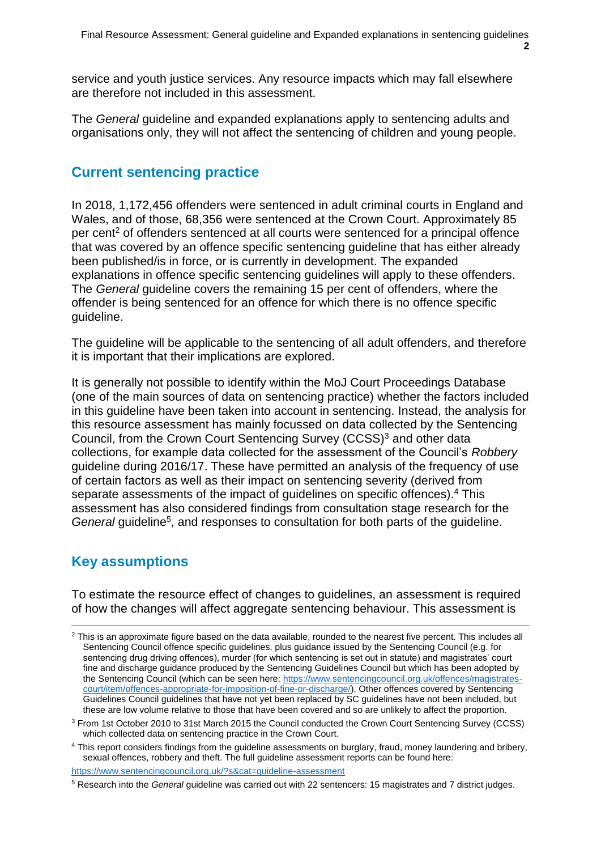service and youth justice services. Any resource impacts which may fall elsewhere are therefore not included in this assessment.

The *General* guideline and expanded explanations apply to sentencing adults and organisations only, they will not affect the sentencing of children and young people.

# **Current sentencing practice**

In 2018, 1,172,456 offenders were sentenced in adult criminal courts in England and Wales, and of those, 68,356 were sentenced at the Crown Court. Approximately 85 per cent<sup>2</sup> of offenders sentenced at all courts were sentenced for a principal offence that was covered by an offence specific sentencing guideline that has either already been published/is in force, or is currently in development. The expanded explanations in offence specific sentencing guidelines will apply to these offenders. The *General* guideline covers the remaining 15 per cent of offenders, where the offender is being sentenced for an offence for which there is no offence specific guideline.

The guideline will be applicable to the sentencing of all adult offenders, and therefore it is important that their implications are explored.

It is generally not possible to identify within the MoJ Court Proceedings Database (one of the main sources of data on sentencing practice) whether the factors included in this guideline have been taken into account in sentencing. Instead, the analysis for this resource assessment has mainly focussed on data collected by the Sentencing Council, from the Crown Court Sentencing Survey (CCSS) <sup>3</sup> and other data collections, for example data collected for the assessment of the Council's *Robbery* guideline during 2016/17. These have permitted an analysis of the frequency of use of certain factors as well as their impact on sentencing severity (derived from separate assessments of the impact of guidelines on specific offences).<sup>4</sup> This assessment has also considered findings from consultation stage research for the General guideline<sup>5</sup>, and responses to consultation for both parts of the guideline.

# **Key assumptions**

 $\overline{a}$ 

To estimate the resource effect of changes to guidelines, an assessment is required of how the changes will affect aggregate sentencing behaviour. This assessment is

 $2$  This is an approximate figure based on the data available, rounded to the nearest five percent. This includes all Sentencing Council offence specific guidelines, plus guidance issued by the Sentencing Council (e.g. for sentencing drug driving offences), murder (for which sentencing is set out in statute) and magistrates' court fine and discharge guidance produced by the Sentencing Guidelines Council but which has been adopted by the Sentencing Council (which can be seen here: [https://www.sentencingcouncil.org.uk/offences/magistrates](https://www.sentencingcouncil.org.uk/offences/magistrates-court/item/offences-appropriate-for-imposition-of-fine-or-discharge/)[court/item/offences-appropriate-for-imposition-of-fine-or-discharge/\)](https://www.sentencingcouncil.org.uk/offences/magistrates-court/item/offences-appropriate-for-imposition-of-fine-or-discharge/). Other offences covered by Sentencing Guidelines Council guidelines that have not yet been replaced by SC guidelines have not been included, but these are low volume relative to those that have been covered and so are unlikely to affect the proportion.

<sup>3</sup> From 1st October 2010 to 31st March 2015 the Council conducted the Crown Court Sentencing Survey (CCSS) which collected data on sentencing practice in the Crown Court.

<sup>4</sup> This report considers findings from the guideline assessments on burglary, fraud, money laundering and bribery, sexual offences, robbery and theft. The full guideline assessment reports can be found here: <https://www.sentencingcouncil.org.uk/?s&cat=guideline-assessment>

<sup>5</sup> Research into the *General* guideline was carried out with 22 sentencers: 15 magistrates and 7 district judges.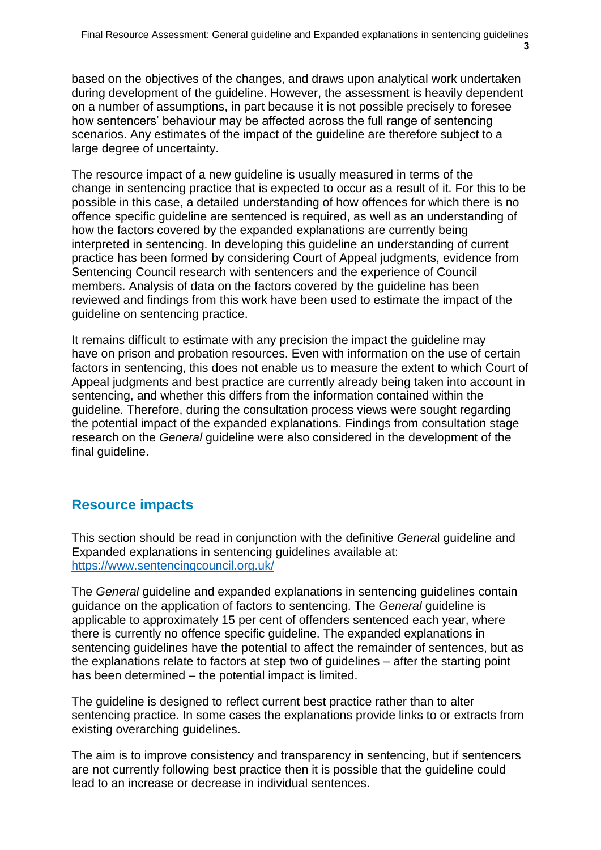based on the objectives of the changes, and draws upon analytical work undertaken during development of the guideline. However, the assessment is heavily dependent on a number of assumptions, in part because it is not possible precisely to foresee how sentencers' behaviour may be affected across the full range of sentencing scenarios. Any estimates of the impact of the guideline are therefore subject to a large degree of uncertainty.

The resource impact of a new guideline is usually measured in terms of the change in sentencing practice that is expected to occur as a result of it. For this to be possible in this case, a detailed understanding of how offences for which there is no offence specific guideline are sentenced is required, as well as an understanding of how the factors covered by the expanded explanations are currently being interpreted in sentencing. In developing this guideline an understanding of current practice has been formed by considering Court of Appeal judgments, evidence from Sentencing Council research with sentencers and the experience of Council members. Analysis of data on the factors covered by the guideline has been reviewed and findings from this work have been used to estimate the impact of the guideline on sentencing practice.

It remains difficult to estimate with any precision the impact the guideline may have on prison and probation resources. Even with information on the use of certain factors in sentencing, this does not enable us to measure the extent to which Court of Appeal judgments and best practice are currently already being taken into account in sentencing, and whether this differs from the information contained within the guideline. Therefore, during the consultation process views were sought regarding the potential impact of the expanded explanations. Findings from consultation stage research on the *General* guideline were also considered in the development of the final guideline.

# **Resource impacts**

This section should be read in conjunction with the definitive *Genera*l guideline and Expanded explanations in sentencing guidelines available at: <https://www.sentencingcouncil.org.uk/>

The *General* guideline and expanded explanations in sentencing guidelines contain guidance on the application of factors to sentencing. The *General* guideline is applicable to approximately 15 per cent of offenders sentenced each year, where there is currently no offence specific guideline. The expanded explanations in sentencing guidelines have the potential to affect the remainder of sentences, but as the explanations relate to factors at step two of guidelines – after the starting point has been determined – the potential impact is limited.

The guideline is designed to reflect current best practice rather than to alter sentencing practice. In some cases the explanations provide links to or extracts from existing overarching guidelines.

The aim is to improve consistency and transparency in sentencing, but if sentencers are not currently following best practice then it is possible that the guideline could lead to an increase or decrease in individual sentences.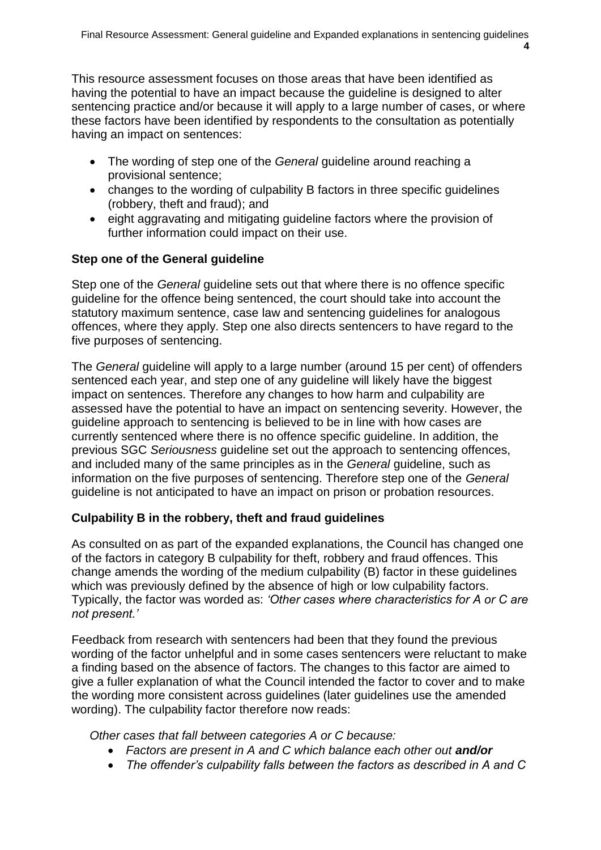This resource assessment focuses on those areas that have been identified as having the potential to have an impact because the guideline is designed to alter sentencing practice and/or because it will apply to a large number of cases, or where these factors have been identified by respondents to the consultation as potentially having an impact on sentences:

- The wording of step one of the *General* guideline around reaching a provisional sentence;
- changes to the wording of culpability B factors in three specific guidelines (robbery, theft and fraud); and
- eight aggravating and mitigating guideline factors where the provision of further information could impact on their use.

### **Step one of the General guideline**

Step one of the *General* guideline sets out that where there is no offence specific guideline for the offence being sentenced, the court should take into account the statutory maximum sentence, case law and sentencing guidelines for analogous offences, where they apply. Step one also directs sentencers to have regard to the five purposes of sentencing.

The *General* guideline will apply to a large number (around 15 per cent) of offenders sentenced each year, and step one of any guideline will likely have the biggest impact on sentences. Therefore any changes to how harm and culpability are assessed have the potential to have an impact on sentencing severity. However, the guideline approach to sentencing is believed to be in line with how cases are currently sentenced where there is no offence specific guideline. In addition, the previous SGC *Seriousness* guideline set out the approach to sentencing offences, and included many of the same principles as in the *General* guideline, such as information on the five purposes of sentencing. Therefore step one of the *General* guideline is not anticipated to have an impact on prison or probation resources.

## **Culpability B in the robbery, theft and fraud guidelines**

As consulted on as part of the expanded explanations, the Council has changed one of the factors in category B culpability for theft, robbery and fraud offences. This change amends the wording of the medium culpability (B) factor in these guidelines which was previously defined by the absence of high or low culpability factors. Typically, the factor was worded as: *'Other cases where characteristics for A or C are not present.'*

Feedback from research with sentencers had been that they found the previous wording of the factor unhelpful and in some cases sentencers were reluctant to make a finding based on the absence of factors. The changes to this factor are aimed to give a fuller explanation of what the Council intended the factor to cover and to make the wording more consistent across guidelines (later guidelines use the amended wording). The culpability factor therefore now reads:

*Other cases that fall between categories A or C because:* 

- *Factors are present in A and C which balance each other out and/or*
- *The offender's culpability falls between the factors as described in A and C*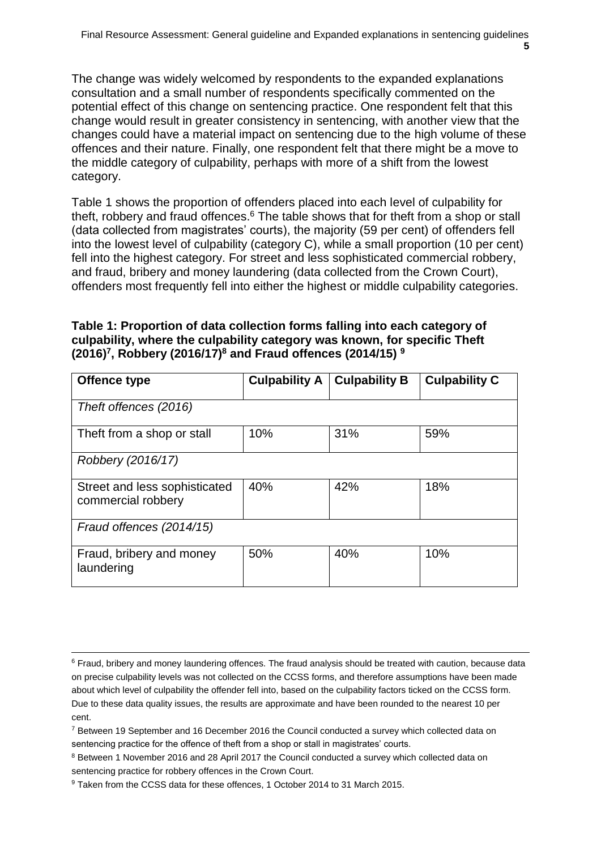**5**

The change was widely welcomed by respondents to the expanded explanations consultation and a small number of respondents specifically commented on the potential effect of this change on sentencing practice. One respondent felt that this change would result in greater consistency in sentencing, with another view that the changes could have a material impact on sentencing due to the high volume of these offences and their nature. Finally, one respondent felt that there might be a move to the middle category of culpability, perhaps with more of a shift from the lowest category.

Table 1 shows the proportion of offenders placed into each level of culpability for theft, robbery and fraud offences.<sup>6</sup> The table shows that for theft from a shop or stall (data collected from magistrates' courts), the majority (59 per cent) of offenders fell into the lowest level of culpability (category C), while a small proportion (10 per cent) fell into the highest category. For street and less sophisticated commercial robbery, and fraud, bribery and money laundering (data collected from the Crown Court), offenders most frequently fell into either the highest or middle culpability categories.

#### **Table 1: Proportion of data collection forms falling into each category of culpability, where the culpability category was known, for specific Theft (2016) 7 , Robbery (2016/17)<sup>8</sup> and Fraud offences (2014/15) <sup>9</sup>**

| Offence type                                        | <b>Culpability A</b> | <b>Culpability B</b> | <b>Culpability C</b> |
|-----------------------------------------------------|----------------------|----------------------|----------------------|
| Theft offences (2016)                               |                      |                      |                      |
| Theft from a shop or stall                          | 10%                  | 31%                  | 59%                  |
| Robbery (2016/17)                                   |                      |                      |                      |
| Street and less sophisticated<br>commercial robbery | 40%                  | 42%                  | 18%                  |
| Fraud offences (2014/15)                            |                      |                      |                      |
| Fraud, bribery and money<br>laundering              | 50%                  | 40%                  | 10%                  |

 $\overline{a}$ <sup>6</sup> Fraud, bribery and money laundering offences. The fraud analysis should be treated with caution, because data on precise culpability levels was not collected on the CCSS forms, and therefore assumptions have been made about which level of culpability the offender fell into, based on the culpability factors ticked on the CCSS form. Due to these data quality issues, the results are approximate and have been rounded to the nearest 10 per cent.

<sup>&</sup>lt;sup>7</sup> Between 19 September and 16 December 2016 the Council conducted a survey which collected data on sentencing practice for the offence of theft from a shop or stall in magistrates' courts.

<sup>&</sup>lt;sup>8</sup> Between 1 November 2016 and 28 April 2017 the Council conducted a survey which collected data on sentencing practice for robbery offences in the Crown Court.

<sup>9</sup> Taken from the CCSS data for these offences, 1 October 2014 to 31 March 2015.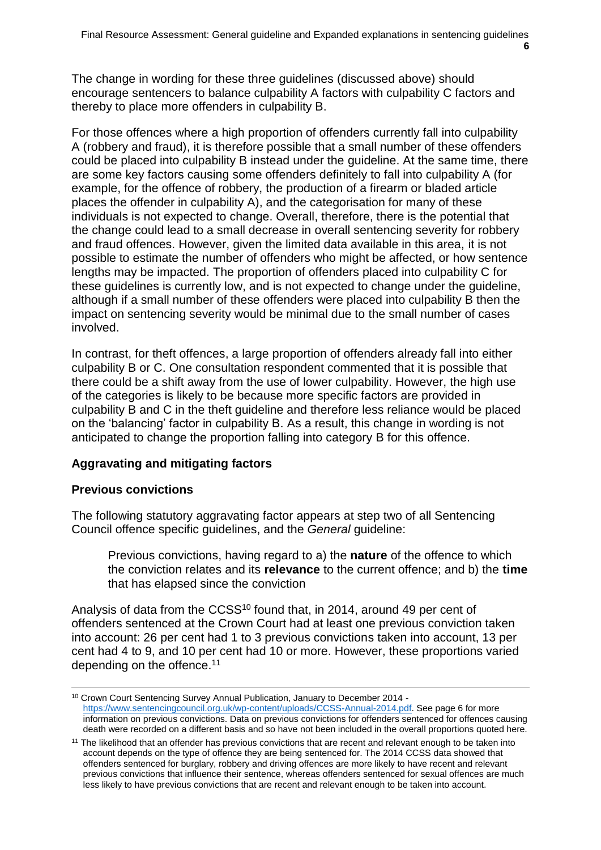**6**

The change in wording for these three guidelines (discussed above) should encourage sentencers to balance culpability A factors with culpability C factors and thereby to place more offenders in culpability B.

For those offences where a high proportion of offenders currently fall into culpability A (robbery and fraud), it is therefore possible that a small number of these offenders could be placed into culpability B instead under the guideline. At the same time, there are some key factors causing some offenders definitely to fall into culpability A (for example, for the offence of robbery, the production of a firearm or bladed article places the offender in culpability A), and the categorisation for many of these individuals is not expected to change. Overall, therefore, there is the potential that the change could lead to a small decrease in overall sentencing severity for robbery and fraud offences. However, given the limited data available in this area, it is not possible to estimate the number of offenders who might be affected, or how sentence lengths may be impacted. The proportion of offenders placed into culpability C for these guidelines is currently low, and is not expected to change under the guideline, although if a small number of these offenders were placed into culpability B then the impact on sentencing severity would be minimal due to the small number of cases involved.

In contrast, for theft offences, a large proportion of offenders already fall into either culpability B or C. One consultation respondent commented that it is possible that there could be a shift away from the use of lower culpability. However, the high use of the categories is likely to be because more specific factors are provided in culpability B and C in the theft guideline and therefore less reliance would be placed on the 'balancing' factor in culpability B. As a result, this change in wording is not anticipated to change the proportion falling into category B for this offence.

#### **Aggravating and mitigating factors**

#### **Previous convictions**

The following statutory aggravating factor appears at step two of all Sentencing Council offence specific guidelines, and the *General* guideline:

Previous convictions, having regard to a) the **nature** of the offence to which the conviction relates and its **relevance** to the current offence; and b) the **time** that has elapsed since the conviction

Analysis of data from the CCSS<sup>10</sup> found that, in 2014, around 49 per cent of offenders sentenced at the Crown Court had at least one previous conviction taken into account: 26 per cent had 1 to 3 previous convictions taken into account, 13 per cent had 4 to 9, and 10 per cent had 10 or more. However, these proportions varied depending on the offence.<sup>11</sup>

 $\overline{a}$ <sup>10</sup> Crown Court Sentencing Survey Annual Publication, January to December 2014 [https://www.sentencingcouncil.org.uk/wp-content/uploads/CCSS-Annual-2014.pdf.](https://www.sentencingcouncil.org.uk/wp-content/uploads/CCSS-Annual-2014.pdf) See page 6 for more information on previous convictions. Data on previous convictions for offenders sentenced for offences causing death were recorded on a different basis and so have not been included in the overall proportions quoted here.

<sup>&</sup>lt;sup>11</sup> The likelihood that an offender has previous convictions that are recent and relevant enough to be taken into account depends on the type of offence they are being sentenced for. The 2014 CCSS data showed that offenders sentenced for burglary, robbery and driving offences are more likely to have recent and relevant previous convictions that influence their sentence, whereas offenders sentenced for sexual offences are much less likely to have previous convictions that are recent and relevant enough to be taken into account.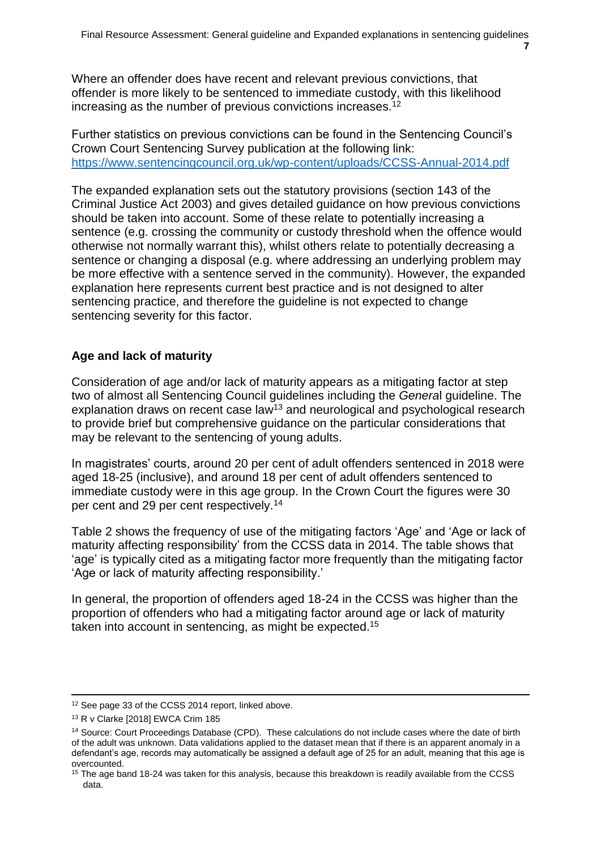Where an offender does have recent and relevant previous convictions, that offender is more likely to be sentenced to immediate custody, with this likelihood increasing as the number of previous convictions increases.<sup>12</sup>

Further statistics on previous convictions can be found in the Sentencing Council's Crown Court Sentencing Survey publication at the following link: <https://www.sentencingcouncil.org.uk/wp-content/uploads/CCSS-Annual-2014.pdf>

The expanded explanation sets out the statutory provisions (section 143 of the Criminal Justice Act 2003) and gives detailed guidance on how previous convictions should be taken into account. Some of these relate to potentially increasing a sentence (e.g. crossing the community or custody threshold when the offence would otherwise not normally warrant this), whilst others relate to potentially decreasing a sentence or changing a disposal (e.g. where addressing an underlying problem may be more effective with a sentence served in the community). However, the expanded explanation here represents current best practice and is not designed to alter sentencing practice, and therefore the guideline is not expected to change sentencing severity for this factor.

#### **Age and lack of maturity**

Consideration of age and/or lack of maturity appears as a mitigating factor at step two of almost all Sentencing Council guidelines including the *Genera*l guideline. The explanation draws on recent case law<sup>13</sup> and neurological and psychological research to provide brief but comprehensive guidance on the particular considerations that may be relevant to the sentencing of young adults.

In magistrates' courts, around 20 per cent of adult offenders sentenced in 2018 were aged 18-25 (inclusive), and around 18 per cent of adult offenders sentenced to immediate custody were in this age group. In the Crown Court the figures were 30 per cent and 29 per cent respectively.<sup>14</sup>

Table 2 shows the frequency of use of the mitigating factors 'Age' and 'Age or lack of maturity affecting responsibility' from the CCSS data in 2014. The table shows that 'age' is typically cited as a mitigating factor more frequently than the mitigating factor 'Age or lack of maturity affecting responsibility.'

In general, the proportion of offenders aged 18-24 in the CCSS was higher than the proportion of offenders who had a mitigating factor around age or lack of maturity taken into account in sentencing, as might be expected.<sup>15</sup>

 $\overline{a}$ <sup>12</sup> See page 33 of the CCSS 2014 report, linked above.

<sup>13</sup> R v Clarke [2018] EWCA Crim 185

<sup>14</sup> Source: Court Proceedings Database (CPD). These calculations do not include cases where the date of birth of the adult was unknown. Data validations applied to the dataset mean that if there is an apparent anomaly in a defendant's age, records may automatically be assigned a default age of 25 for an adult, meaning that this age is overcounted.

<sup>&</sup>lt;sup>15</sup> The age band 18-24 was taken for this analysis, because this breakdown is readily available from the CCSS data.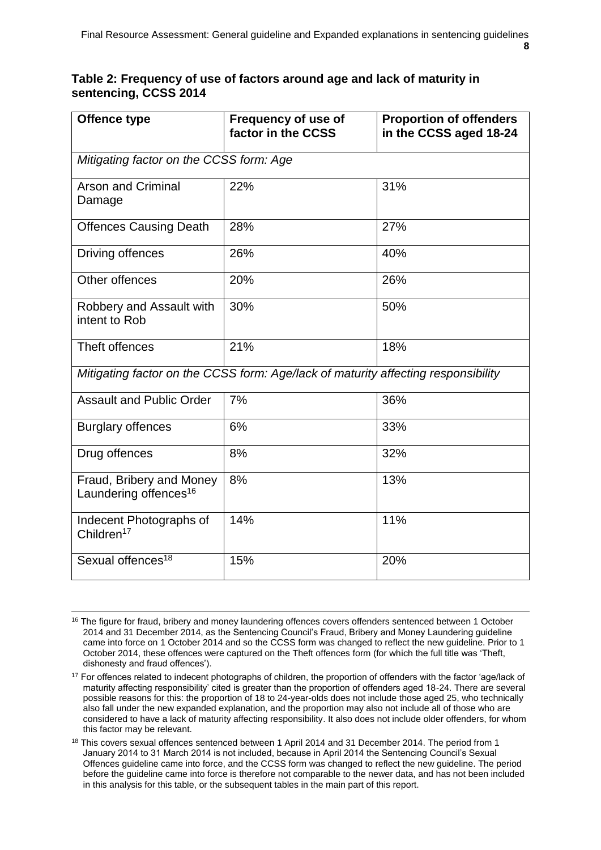#### **Table 2: Frequency of use of factors around age and lack of maturity in sentencing, CCSS 2014**

| Offence type                                                                      | Frequency of use of<br>factor in the CCSS | <b>Proportion of offenders</b><br>in the CCSS aged 18-24 |
|-----------------------------------------------------------------------------------|-------------------------------------------|----------------------------------------------------------|
| Mitigating factor on the CCSS form: Age                                           |                                           |                                                          |
| <b>Arson and Criminal</b><br>Damage                                               | 22%                                       | 31%                                                      |
| <b>Offences Causing Death</b>                                                     | 28%                                       | 27%                                                      |
| Driving offences                                                                  | 26%                                       | 40%                                                      |
| Other offences                                                                    | 20%                                       | 26%                                                      |
| Robbery and Assault with<br>intent to Rob                                         | 30%                                       | 50%                                                      |
| Theft offences                                                                    | 21%                                       | 18%                                                      |
| Mitigating factor on the CCSS form: Age/lack of maturity affecting responsibility |                                           |                                                          |
| <b>Assault and Public Order</b>                                                   | 7%                                        | 36%                                                      |
| <b>Burglary offences</b>                                                          | 6%                                        | 33%                                                      |
| Drug offences                                                                     | 8%                                        | 32%                                                      |
| Fraud, Bribery and Money<br>Laundering offences <sup>16</sup>                     | 8%                                        | 13%                                                      |
| Indecent Photographs of<br>Children <sup>17</sup>                                 | 14%                                       | 11%                                                      |
| Sexual offences <sup>18</sup>                                                     | 15%                                       | 20%                                                      |

 $\overline{a}$ <sup>16</sup> The figure for fraud, bribery and money laundering offences covers offenders sentenced between 1 October 2014 and 31 December 2014, as the Sentencing Council's Fraud, Bribery and Money Laundering guideline came into force on 1 October 2014 and so the CCSS form was changed to reflect the new guideline. Prior to 1 October 2014, these offences were captured on the Theft offences form (for which the full title was 'Theft, dishonesty and fraud offences').

<sup>&</sup>lt;sup>17</sup> For offences related to indecent photographs of children, the proportion of offenders with the factor 'age/lack of maturity affecting responsibility' cited is greater than the proportion of offenders aged 18-24. There are several possible reasons for this: the proportion of 18 to 24-year-olds does not include those aged 25, who technically also fall under the new expanded explanation, and the proportion may also not include all of those who are considered to have a lack of maturity affecting responsibility. It also does not include older offenders, for whom this factor may be relevant.

<sup>&</sup>lt;sup>18</sup> This covers sexual offences sentenced between 1 April 2014 and 31 December 2014. The period from 1 January 2014 to 31 March 2014 is not included, because in April 2014 the Sentencing Council's Sexual Offences guideline came into force, and the CCSS form was changed to reflect the new guideline. The period before the guideline came into force is therefore not comparable to the newer data, and has not been included in this analysis for this table, or the subsequent tables in the main part of this report.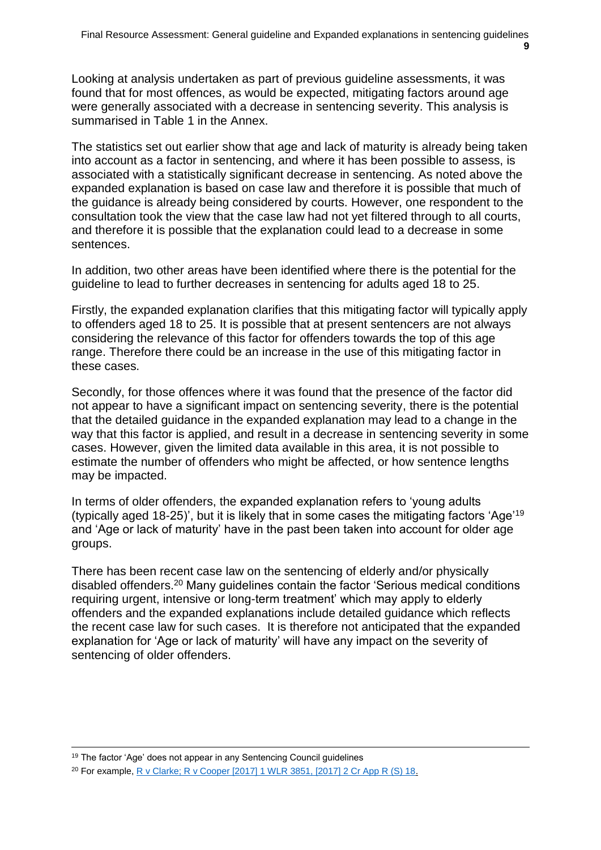Looking at analysis undertaken as part of previous guideline assessments, it was found that for most offences, as would be expected, mitigating factors around age were generally associated with a decrease in sentencing severity. This analysis is summarised in Table 1 in the Annex.

The statistics set out earlier show that age and lack of maturity is already being taken into account as a factor in sentencing, and where it has been possible to assess, is associated with a statistically significant decrease in sentencing. As noted above the expanded explanation is based on case law and therefore it is possible that much of the guidance is already being considered by courts. However, one respondent to the consultation took the view that the case law had not yet filtered through to all courts, and therefore it is possible that the explanation could lead to a decrease in some sentences.

In addition, two other areas have been identified where there is the potential for the guideline to lead to further decreases in sentencing for adults aged 18 to 25.

Firstly, the expanded explanation clarifies that this mitigating factor will typically apply to offenders aged 18 to 25. It is possible that at present sentencers are not always considering the relevance of this factor for offenders towards the top of this age range. Therefore there could be an increase in the use of this mitigating factor in these cases.

Secondly, for those offences where it was found that the presence of the factor did not appear to have a significant impact on sentencing severity, there is the potential that the detailed guidance in the expanded explanation may lead to a change in the way that this factor is applied, and result in a decrease in sentencing severity in some cases. However, given the limited data available in this area, it is not possible to estimate the number of offenders who might be affected, or how sentence lengths may be impacted.

In terms of older offenders, the expanded explanation refers to 'young adults (typically aged 18-25)', but it is likely that in some cases the mitigating factors 'Age'<sup>19</sup> and 'Age or lack of maturity' have in the past been taken into account for older age groups.

There has been recent case law on the sentencing of elderly and/or physically disabled offenders.<sup>20</sup> Many guidelines contain the factor 'Serious medical conditions requiring urgent, intensive or long-term treatment' which may apply to elderly offenders and the expanded explanations include detailed guidance which reflects the recent case law for such cases. It is therefore not anticipated that the expanded explanation for 'Age or lack of maturity' will have any impact on the severity of sentencing of older offenders.

 $\overline{a}$ <sup>19</sup> The factor 'Age' does not appear in any Sentencing Council guidelines

<sup>20</sup> For example, [R v Clarke; R v Cooper \[2017\] 1 WLR 3851, \[2017\] 2 Cr App R \(S\) 18.](http://www.bailii.org/ew/cases/EWCA/Crim/2017/393.html)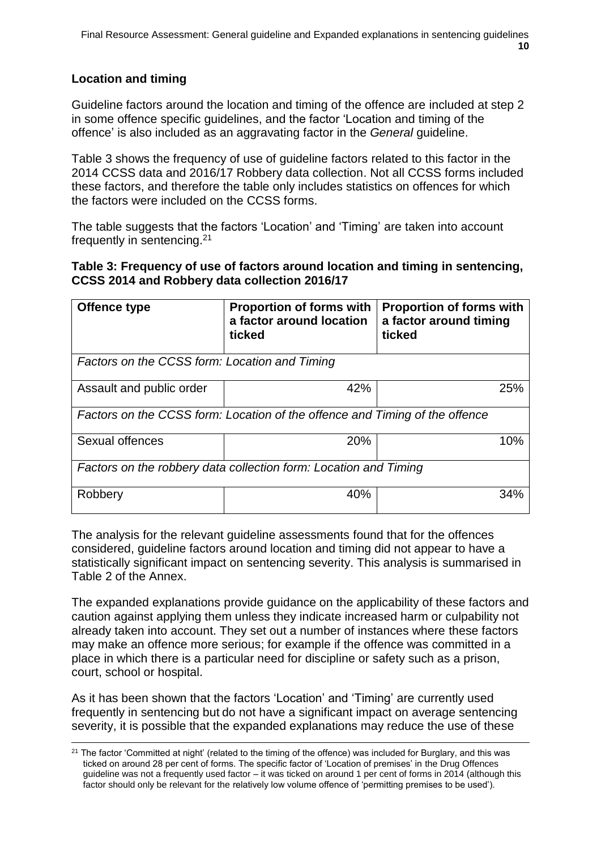#### **Location and timing**

 $\overline{a}$ 

Guideline factors around the location and timing of the offence are included at step 2 in some offence specific guidelines, and the factor 'Location and timing of the offence' is also included as an aggravating factor in the *General* guideline.

Table 3 shows the frequency of use of guideline factors related to this factor in the 2014 CCSS data and 2016/17 Robbery data collection. Not all CCSS forms included these factors, and therefore the table only includes statistics on offences for which the factors were included on the CCSS forms.

The table suggests that the factors 'Location' and 'Timing' are taken into account frequently in sentencing.<sup>21</sup>

#### **Table 3: Frequency of use of factors around location and timing in sentencing, CCSS 2014 and Robbery data collection 2016/17**

| Offence type                                                                | <b>Proportion of forms with</b><br>a factor around location<br>ticked | <b>Proportion of forms with</b><br>a factor around timing<br>ticked |
|-----------------------------------------------------------------------------|-----------------------------------------------------------------------|---------------------------------------------------------------------|
| Factors on the CCSS form: Location and Timing                               |                                                                       |                                                                     |
| Assault and public order                                                    | 42%                                                                   | 25%                                                                 |
| Factors on the CCSS form: Location of the offence and Timing of the offence |                                                                       |                                                                     |
| Sexual offences                                                             | 20%                                                                   | 10%                                                                 |
| Factors on the robbery data collection form: Location and Timing            |                                                                       |                                                                     |
| Robbery                                                                     | 40%                                                                   | 34%                                                                 |

The analysis for the relevant guideline assessments found that for the offences considered, guideline factors around location and timing did not appear to have a statistically significant impact on sentencing severity. This analysis is summarised in Table 2 of the Annex.

The expanded explanations provide guidance on the applicability of these factors and caution against applying them unless they indicate increased harm or culpability not already taken into account. They set out a number of instances where these factors may make an offence more serious; for example if the offence was committed in a place in which there is a particular need for discipline or safety such as a prison, court, school or hospital.

As it has been shown that the factors 'Location' and 'Timing' are currently used frequently in sentencing but do not have a significant impact on average sentencing severity, it is possible that the expanded explanations may reduce the use of these

<sup>&</sup>lt;sup>21</sup> The factor 'Committed at night' (related to the timing of the offence) was included for Burglary, and this was ticked on around 28 per cent of forms. The specific factor of 'Location of premises' in the Drug Offences guideline was not a frequently used factor – it was ticked on around 1 per cent of forms in 2014 (although this factor should only be relevant for the relatively low volume offence of 'permitting premises to be used').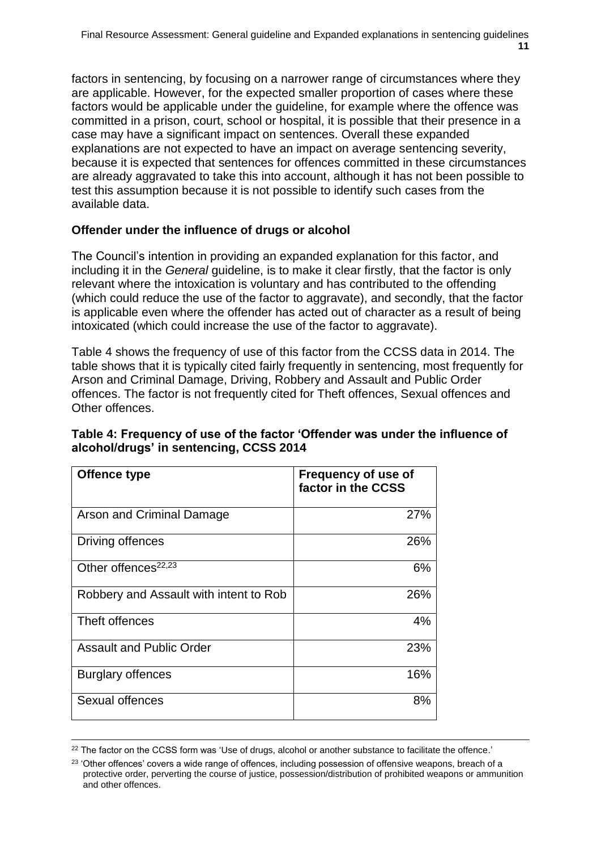factors in sentencing, by focusing on a narrower range of circumstances where they are applicable. However, for the expected smaller proportion of cases where these factors would be applicable under the guideline, for example where the offence was committed in a prison, court, school or hospital, it is possible that their presence in a case may have a significant impact on sentences. Overall these expanded explanations are not expected to have an impact on average sentencing severity, because it is expected that sentences for offences committed in these circumstances are already aggravated to take this into account, although it has not been possible to test this assumption because it is not possible to identify such cases from the available data.

#### **Offender under the influence of drugs or alcohol**

The Council's intention in providing an expanded explanation for this factor, and including it in the *General* guideline, is to make it clear firstly, that the factor is only relevant where the intoxication is voluntary and has contributed to the offending (which could reduce the use of the factor to aggravate), and secondly, that the factor is applicable even where the offender has acted out of character as a result of being intoxicated (which could increase the use of the factor to aggravate).

Table 4 shows the frequency of use of this factor from the CCSS data in 2014. The table shows that it is typically cited fairly frequently in sentencing, most frequently for Arson and Criminal Damage, Driving, Robbery and Assault and Public Order offences. The factor is not frequently cited for Theft offences, Sexual offences and Other offences.

| Table 4: Frequency of use of the factor 'Offender was under the influence of |  |
|------------------------------------------------------------------------------|--|
| alcohol/drugs' in sentencing, CCSS 2014                                      |  |

| Offence type                           | Frequency of use of<br>factor in the CCSS |
|----------------------------------------|-------------------------------------------|
| Arson and Criminal Damage              | 27%                                       |
| Driving offences                       | 26%                                       |
| Other offences <sup>22,23</sup>        | 6%                                        |
| Robbery and Assault with intent to Rob | 26%                                       |
| Theft offences                         | 4%                                        |
| <b>Assault and Public Order</b>        | 23%                                       |
| <b>Burglary offences</b>               | 16%                                       |
| Sexual offences                        | 8%                                        |

 $\overline{a}$ <sup>22</sup> The factor on the CCSS form was 'Use of drugs, alcohol or another substance to facilitate the offence.'

<sup>&</sup>lt;sup>23</sup> 'Other offences' covers a wide range of offences, including possession of offensive weapons, breach of a protective order, perverting the course of justice, possession/distribution of prohibited weapons or ammunition and other offences.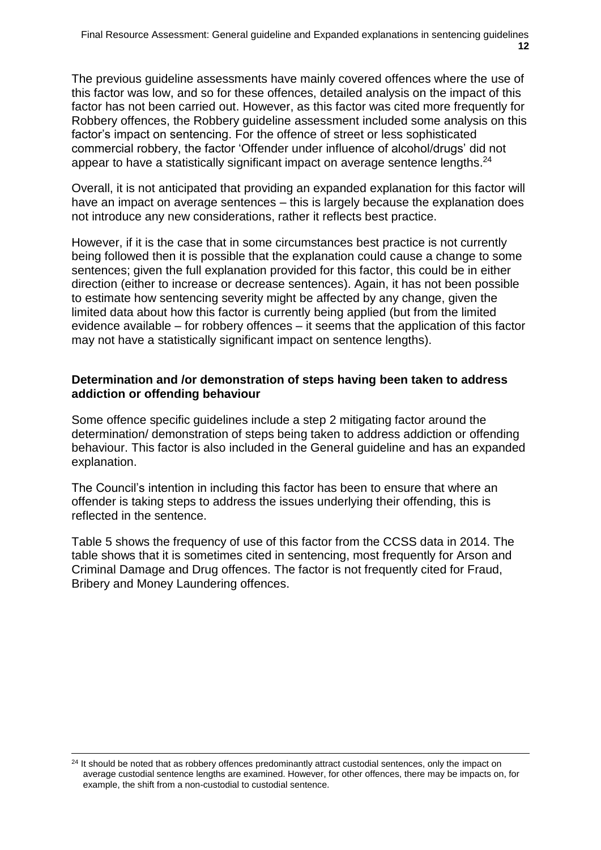The previous guideline assessments have mainly covered offences where the use of this factor was low, and so for these offences, detailed analysis on the impact of this factor has not been carried out. However, as this factor was cited more frequently for Robbery offences, the Robbery guideline assessment included some analysis on this factor's impact on sentencing. For the offence of street or less sophisticated commercial robbery, the factor 'Offender under influence of alcohol/drugs' did not appear to have a statistically significant impact on average sentence lengths.<sup>24</sup>

Overall, it is not anticipated that providing an expanded explanation for this factor will have an impact on average sentences – this is largely because the explanation does not introduce any new considerations, rather it reflects best practice.

However, if it is the case that in some circumstances best practice is not currently being followed then it is possible that the explanation could cause a change to some sentences; given the full explanation provided for this factor, this could be in either direction (either to increase or decrease sentences). Again, it has not been possible to estimate how sentencing severity might be affected by any change, given the limited data about how this factor is currently being applied (but from the limited evidence available – for robbery offences – it seems that the application of this factor may not have a statistically significant impact on sentence lengths).

#### **Determination and /or demonstration of steps having been taken to address addiction or offending behaviour**

Some offence specific guidelines include a step 2 mitigating factor around the determination/ demonstration of steps being taken to address addiction or offending behaviour. This factor is also included in the General guideline and has an expanded explanation.

The Council's intention in including this factor has been to ensure that where an offender is taking steps to address the issues underlying their offending, this is reflected in the sentence.

Table 5 shows the frequency of use of this factor from the CCSS data in 2014. The table shows that it is sometimes cited in sentencing, most frequently for Arson and Criminal Damage and Drug offences. The factor is not frequently cited for Fraud, Bribery and Money Laundering offences.

 $\overline{a}$ <sup>24</sup> It should be noted that as robbery offences predominantly attract custodial sentences, only the impact on average custodial sentence lengths are examined. However, for other offences, there may be impacts on, for example, the shift from a non-custodial to custodial sentence.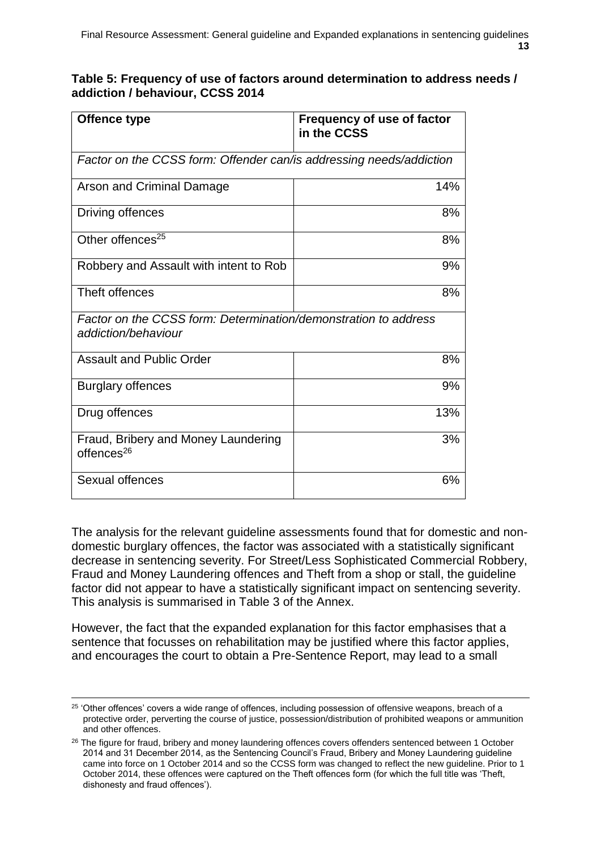#### **Table 5: Frequency of use of factors around determination to address needs / addiction / behaviour, CCSS 2014**

| Offence type                                                                           | Frequency of use of factor<br>in the CCSS |  |
|----------------------------------------------------------------------------------------|-------------------------------------------|--|
| Factor on the CCSS form: Offender can/is addressing needs/addiction                    |                                           |  |
| Arson and Criminal Damage                                                              | 14%                                       |  |
| Driving offences                                                                       | 8%                                        |  |
| Other offences <sup>25</sup>                                                           | 8%                                        |  |
| Robbery and Assault with intent to Rob                                                 | 9%                                        |  |
| Theft offences                                                                         | 8%                                        |  |
| Factor on the CCSS form: Determination/demonstration to address<br>addiction/behaviour |                                           |  |
| <b>Assault and Public Order</b>                                                        | 8%                                        |  |
| <b>Burglary offences</b>                                                               | 9%                                        |  |
| Drug offences                                                                          | 13%                                       |  |
| Fraud, Bribery and Money Laundering<br>offences <sup>26</sup>                          | 3%                                        |  |
| Sexual offences                                                                        | 6%                                        |  |

The analysis for the relevant guideline assessments found that for domestic and nondomestic burglary offences, the factor was associated with a statistically significant decrease in sentencing severity. For Street/Less Sophisticated Commercial Robbery, Fraud and Money Laundering offences and Theft from a shop or stall, the guideline factor did not appear to have a statistically significant impact on sentencing severity. This analysis is summarised in Table 3 of the Annex.

However, the fact that the expanded explanation for this factor emphasises that a sentence that focusses on rehabilitation may be justified where this factor applies, and encourages the court to obtain a Pre-Sentence Report, may lead to a small

 $\overline{a}$ <sup>25</sup> 'Other offences' covers a wide range of offences, including possession of offensive weapons, breach of a protective order, perverting the course of justice, possession/distribution of prohibited weapons or ammunition and other offences.

<sup>&</sup>lt;sup>26</sup> The figure for fraud, bribery and money laundering offences covers offenders sentenced between 1 October 2014 and 31 December 2014, as the Sentencing Council's Fraud, Bribery and Money Laundering guideline came into force on 1 October 2014 and so the CCSS form was changed to reflect the new guideline. Prior to 1 October 2014, these offences were captured on the Theft offences form (for which the full title was 'Theft, dishonesty and fraud offences').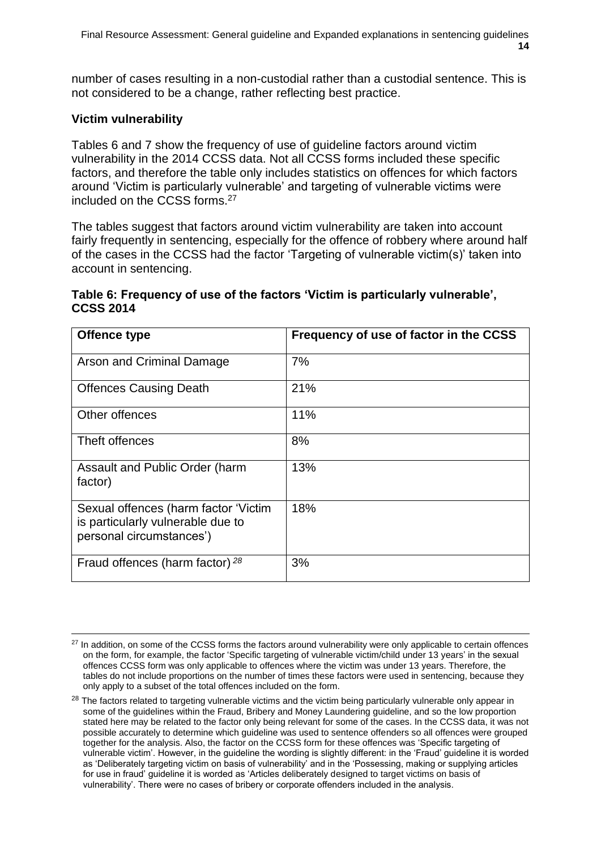number of cases resulting in a non-custodial rather than a custodial sentence. This is not considered to be a change, rather reflecting best practice.

#### **Victim vulnerability**

Tables 6 and 7 show the frequency of use of guideline factors around victim vulnerability in the 2014 CCSS data. Not all CCSS forms included these specific factors, and therefore the table only includes statistics on offences for which factors around 'Victim is particularly vulnerable' and targeting of vulnerable victims were included on the CCSS forms.<sup>27</sup>

The tables suggest that factors around victim vulnerability are taken into account fairly frequently in sentencing, especially for the offence of robbery where around half of the cases in the CCSS had the factor 'Targeting of vulnerable victim(s)' taken into account in sentencing.

#### **Table 6: Frequency of use of the factors 'Victim is particularly vulnerable', CCSS 2014**

| Offence type                                                                                          | Frequency of use of factor in the CCSS |
|-------------------------------------------------------------------------------------------------------|----------------------------------------|
| Arson and Criminal Damage                                                                             | 7%                                     |
| <b>Offences Causing Death</b>                                                                         | 21%                                    |
| Other offences                                                                                        | 11%                                    |
| Theft offences                                                                                        | 8%                                     |
| Assault and Public Order (harm<br>factor)                                                             | 13%                                    |
| Sexual offences (harm factor 'Victim<br>is particularly vulnerable due to<br>personal circumstances') | 18%                                    |
| Fraud offences (harm factor) 28                                                                       | 3%                                     |

<span id="page-13-0"></span> $\overline{a}$ <sup>27</sup> In addition, on some of the CCSS forms the factors around vulnerability were only applicable to certain offences on the form, for example, the factor 'Specific targeting of vulnerable victim/child under 13 years' in the sexual offences CCSS form was only applicable to offences where the victim was under 13 years. Therefore, the tables do not include proportions on the number of times these factors were used in sentencing, because they only apply to a subset of the total offences included on the form.

<sup>&</sup>lt;sup>28</sup> The factors related to targeting vulnerable victims and the victim being particularly vulnerable only appear in some of the guidelines within the Fraud, Bribery and Money Laundering guideline, and so the low proportion stated here may be related to the factor only being relevant for some of the cases. In the CCSS data, it was not possible accurately to determine which guideline was used to sentence offenders so all offences were grouped together for the analysis. Also, the factor on the CCSS form for these offences was 'Specific targeting of vulnerable victim'. However, in the guideline the wording is slightly different: in the 'Fraud' guideline it is worded as 'Deliberately targeting victim on basis of vulnerability' and in the 'Possessing, making or supplying articles for use in fraud' guideline it is worded as 'Articles deliberately designed to target victims on basis of vulnerability'. There were no cases of bribery or corporate offenders included in the analysis.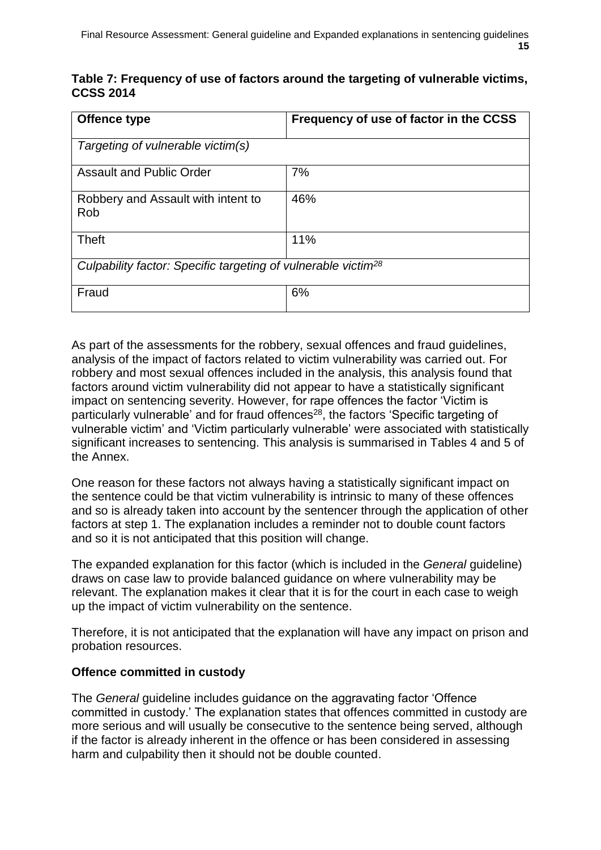#### **Table 7: Frequency of use of factors around the targeting of vulnerable victims, CCSS 2014**

| Offence type                                                              | Frequency of use of factor in the CCSS |  |
|---------------------------------------------------------------------------|----------------------------------------|--|
| Targeting of vulnerable victim(s)                                         |                                        |  |
| <b>Assault and Public Order</b>                                           | 7%                                     |  |
| Robbery and Assault with intent to<br>Rob                                 | 46%                                    |  |
| <b>Theft</b>                                                              | 11%                                    |  |
| Culpability factor: Specific targeting of vulnerable victim <sup>28</sup> |                                        |  |
| Fraud                                                                     | 6%                                     |  |

As part of the assessments for the robbery, sexual offences and fraud guidelines, analysis of the impact of factors related to victim vulnerability was carried out. For robbery and most sexual offences included in the analysis, this analysis found that factors around victim vulnerability did not appear to have a statistically significant impact on sentencing severity. However, for rape offences the factor 'Victim is particularly vulnerable' and for fraud offences<sup>28</sup>, the factors 'Specific targeting of vulnerable victim' and 'Victim particularly vulnerable' were associated with statistically significant increases to sentencing. This analysis is summarised in Tables 4 and 5 of the Annex.

One reason for these factors not always having a statistically significant impact on the sentence could be that victim vulnerability is intrinsic to many of these offences and so is already taken into account by the sentencer through the application of other factors at step 1. The explanation includes a reminder not to double count factors and so it is not anticipated that this position will change.

The expanded explanation for this factor (which is included in the *General* guideline) draws on case law to provide balanced guidance on where vulnerability may be relevant. The explanation makes it clear that it is for the court in each case to weigh up the impact of victim vulnerability on the sentence.

Therefore, it is not anticipated that the explanation will have any impact on prison and probation resources.

#### **Offence committed in custody**

The *General* guideline includes guidance on the aggravating factor 'Offence committed in custody.' The explanation states that offences committed in custody are more serious and will usually be consecutive to the sentence being served, although if the factor is already inherent in the offence or has been considered in assessing harm and culpability then it should not be double counted.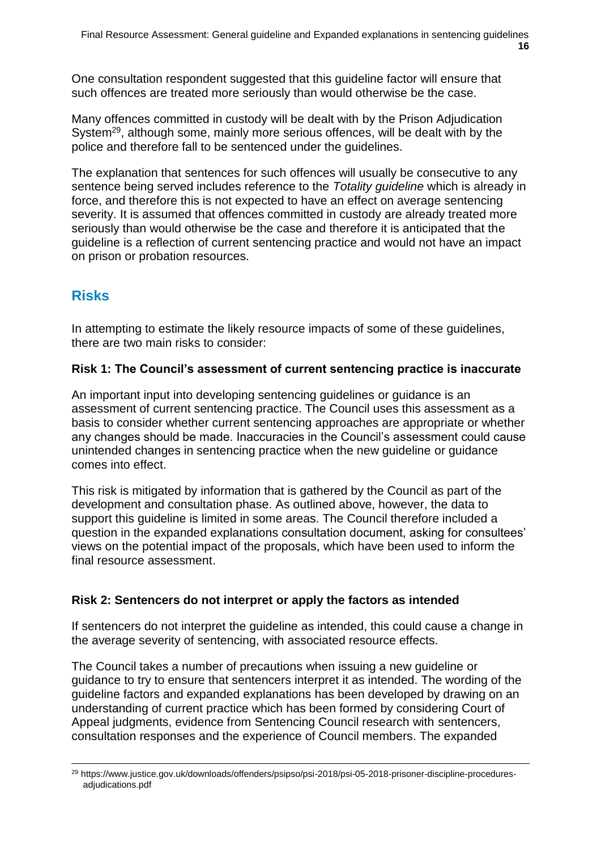One consultation respondent suggested that this guideline factor will ensure that such offences are treated more seriously than would otherwise be the case.

Many offences committed in custody will be dealt with by the Prison Adjudication System<sup>29</sup>, although some, mainly more serious offences, will be dealt with by the police and therefore fall to be sentenced under the guidelines.

The explanation that sentences for such offences will usually be consecutive to any sentence being served includes reference to the *Totality guideline* which is already in force, and therefore this is not expected to have an effect on average sentencing severity. It is assumed that offences committed in custody are already treated more seriously than would otherwise be the case and therefore it is anticipated that the guideline is a reflection of current sentencing practice and would not have an impact on prison or probation resources.

# **Risks**

In attempting to estimate the likely resource impacts of some of these guidelines, there are two main risks to consider:

### **Risk 1: The Council's assessment of current sentencing practice is inaccurate**

An important input into developing sentencing guidelines or guidance is an assessment of current sentencing practice. The Council uses this assessment as a basis to consider whether current sentencing approaches are appropriate or whether any changes should be made. Inaccuracies in the Council's assessment could cause unintended changes in sentencing practice when the new guideline or guidance comes into effect.

This risk is mitigated by information that is gathered by the Council as part of the development and consultation phase. As outlined above, however, the data to support this guideline is limited in some areas. The Council therefore included a question in the expanded explanations consultation document, asking for consultees' views on the potential impact of the proposals, which have been used to inform the final resource assessment.

## **Risk 2: Sentencers do not interpret or apply the factors as intended**

If sentencers do not interpret the guideline as intended, this could cause a change in the average severity of sentencing, with associated resource effects.

The Council takes a number of precautions when issuing a new guideline or guidance to try to ensure that sentencers interpret it as intended. The wording of the guideline factors and expanded explanations has been developed by drawing on an understanding of current practice which has been formed by considering Court of Appeal judgments, evidence from Sentencing Council research with sentencers, consultation responses and the experience of Council members. The expanded

 $\overline{a}$ <sup>29</sup> https://www.justice.gov.uk/downloads/offenders/psipso/psi-2018/psi-05-2018-prisoner-discipline-proceduresadjudications.pdf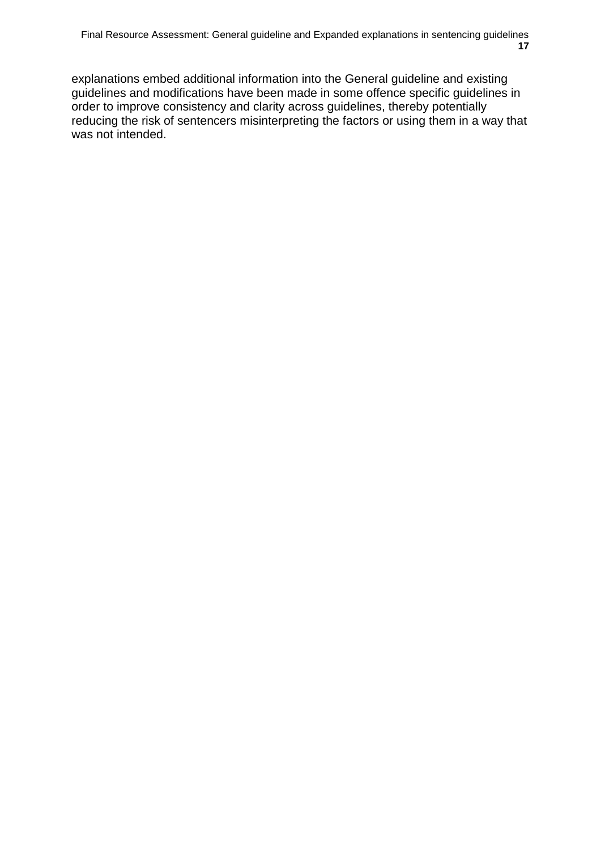explanations embed additional information into the General guideline and existing guidelines and modifications have been made in some offence specific guidelines in order to improve consistency and clarity across guidelines, thereby potentially reducing the risk of sentencers misinterpreting the factors or using them in a way that was not intended.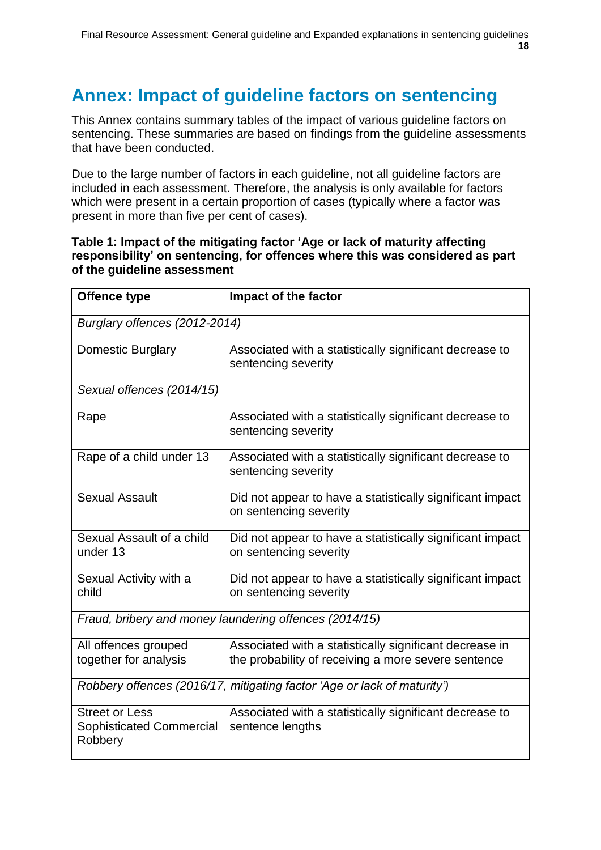# **Annex: Impact of guideline factors on sentencing**

This Annex contains summary tables of the impact of various guideline factors on sentencing. These summaries are based on findings from the guideline assessments that have been conducted.

Due to the large number of factors in each guideline, not all guideline factors are included in each assessment. Therefore, the analysis is only available for factors which were present in a certain proportion of cases (typically where a factor was present in more than five per cent of cases).

#### **Table 1: Impact of the mitigating factor 'Age or lack of maturity affecting responsibility' on sentencing, for offences where this was considered as part of the guideline assessment**

| Offence type                                                            | Impact of the factor                                                                                           |  |
|-------------------------------------------------------------------------|----------------------------------------------------------------------------------------------------------------|--|
| Burglary offences (2012-2014)                                           |                                                                                                                |  |
| <b>Domestic Burglary</b>                                                | Associated with a statistically significant decrease to<br>sentencing severity                                 |  |
| Sexual offences (2014/15)                                               |                                                                                                                |  |
| Rape                                                                    | Associated with a statistically significant decrease to<br>sentencing severity                                 |  |
| Rape of a child under 13                                                | Associated with a statistically significant decrease to<br>sentencing severity                                 |  |
| <b>Sexual Assault</b>                                                   | Did not appear to have a statistically significant impact<br>on sentencing severity                            |  |
| Sexual Assault of a child<br>under 13                                   | Did not appear to have a statistically significant impact<br>on sentencing severity                            |  |
| Sexual Activity with a<br>child                                         | Did not appear to have a statistically significant impact<br>on sentencing severity                            |  |
| Fraud, bribery and money laundering offences (2014/15)                  |                                                                                                                |  |
| All offences grouped<br>together for analysis                           | Associated with a statistically significant decrease in<br>the probability of receiving a more severe sentence |  |
| Robbery offences (2016/17, mitigating factor 'Age or lack of maturity') |                                                                                                                |  |
| <b>Street or Less</b><br><b>Sophisticated Commercial</b><br>Robbery     | Associated with a statistically significant decrease to<br>sentence lengths                                    |  |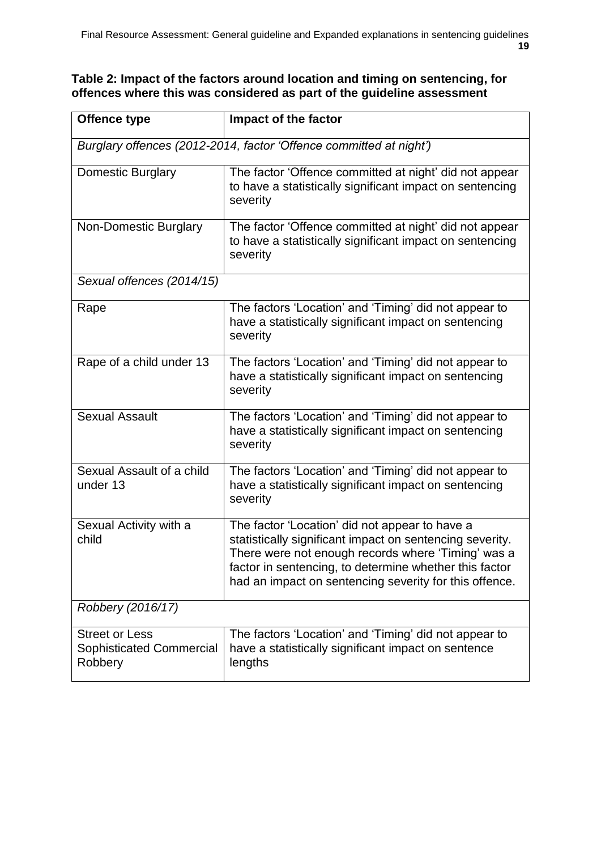#### **Table 2: Impact of the factors around location and timing on sentencing, for offences where this was considered as part of the guideline assessment**

| <b>Offence type</b>                                                 | Impact of the factor                                                                                                                                                                                                                                                                 |  |  |
|---------------------------------------------------------------------|--------------------------------------------------------------------------------------------------------------------------------------------------------------------------------------------------------------------------------------------------------------------------------------|--|--|
|                                                                     | Burglary offences (2012-2014, factor 'Offence committed at night')                                                                                                                                                                                                                   |  |  |
| Domestic Burglary                                                   | The factor 'Offence committed at night' did not appear<br>to have a statistically significant impact on sentencing<br>severity                                                                                                                                                       |  |  |
| <b>Non-Domestic Burglary</b>                                        | The factor 'Offence committed at night' did not appear<br>to have a statistically significant impact on sentencing<br>severity                                                                                                                                                       |  |  |
| Sexual offences (2014/15)                                           |                                                                                                                                                                                                                                                                                      |  |  |
| Rape                                                                | The factors 'Location' and 'Timing' did not appear to<br>have a statistically significant impact on sentencing<br>severity                                                                                                                                                           |  |  |
| Rape of a child under 13                                            | The factors 'Location' and 'Timing' did not appear to<br>have a statistically significant impact on sentencing<br>severity                                                                                                                                                           |  |  |
| <b>Sexual Assault</b>                                               | The factors 'Location' and 'Timing' did not appear to<br>have a statistically significant impact on sentencing<br>severity                                                                                                                                                           |  |  |
| Sexual Assault of a child<br>under 13                               | The factors 'Location' and 'Timing' did not appear to<br>have a statistically significant impact on sentencing<br>severity                                                                                                                                                           |  |  |
| Sexual Activity with a<br>child                                     | The factor 'Location' did not appear to have a<br>statistically significant impact on sentencing severity.<br>There were not enough records where 'Timing' was a<br>factor in sentencing, to determine whether this factor<br>had an impact on sentencing severity for this offence. |  |  |
| Robbery (2016/17)                                                   |                                                                                                                                                                                                                                                                                      |  |  |
| <b>Street or Less</b><br><b>Sophisticated Commercial</b><br>Robbery | The factors 'Location' and 'Timing' did not appear to<br>have a statistically significant impact on sentence<br>lengths                                                                                                                                                              |  |  |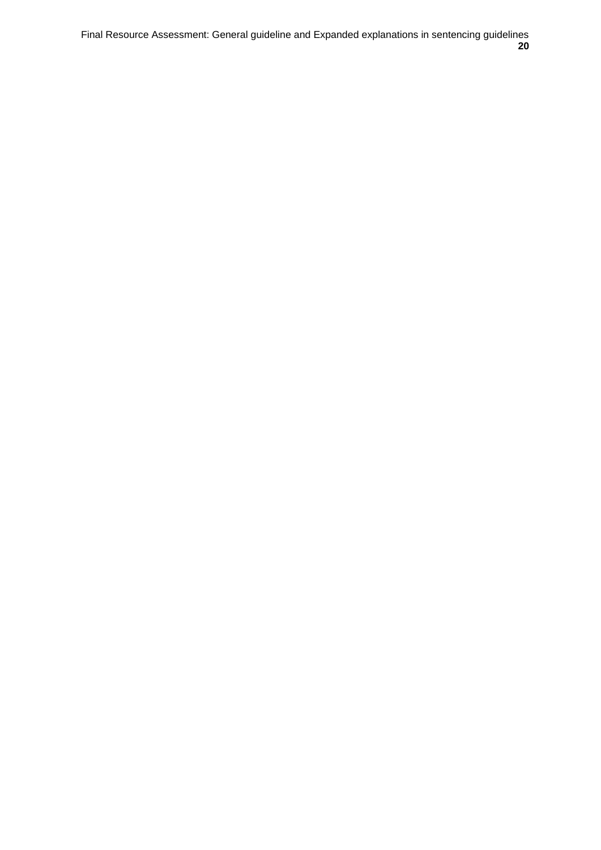Final Resource Assessment: General guideline and Expanded explanations in sentencing guidelines **20**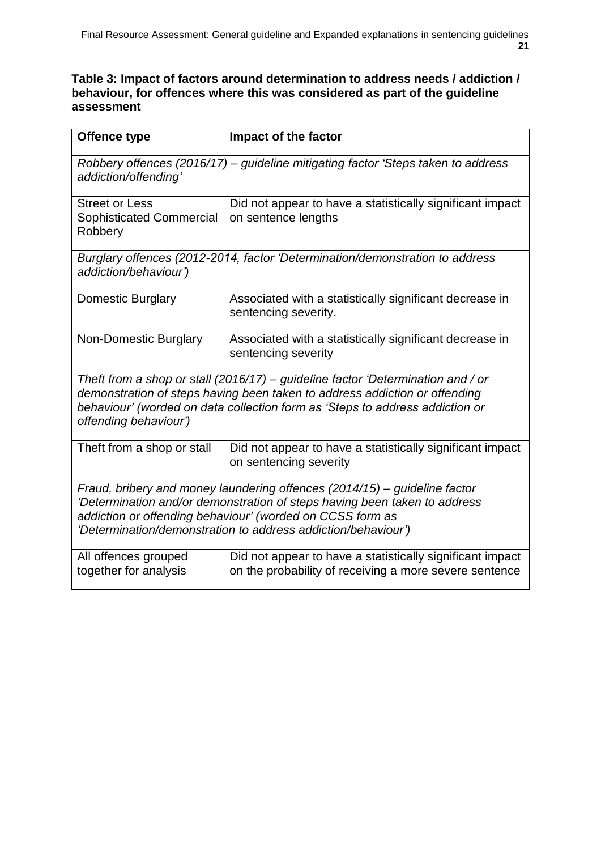#### **Table 3: Impact of factors around determination to address needs / addiction / behaviour, for offences where this was considered as part of the guideline assessment**

| <b>Offence type</b>                                                                                                                                                                                                                                                                  | Impact of the factor                                                                                                |  |
|--------------------------------------------------------------------------------------------------------------------------------------------------------------------------------------------------------------------------------------------------------------------------------------|---------------------------------------------------------------------------------------------------------------------|--|
| addiction/offending'                                                                                                                                                                                                                                                                 | Robbery offences (2016/17) – guideline mitigating factor 'Steps taken to address                                    |  |
| <b>Street or Less</b><br><b>Sophisticated Commercial</b><br>Robbery                                                                                                                                                                                                                  | Did not appear to have a statistically significant impact<br>on sentence lengths                                    |  |
| addiction/behaviour')                                                                                                                                                                                                                                                                | Burglary offences (2012-2014, factor 'Determination/demonstration to address                                        |  |
| <b>Domestic Burglary</b>                                                                                                                                                                                                                                                             | Associated with a statistically significant decrease in<br>sentencing severity.                                     |  |
| <b>Non-Domestic Burglary</b>                                                                                                                                                                                                                                                         | Associated with a statistically significant decrease in<br>sentencing severity                                      |  |
| Theft from a shop or stall (2016/17) - guideline factor 'Determination and / or<br>demonstration of steps having been taken to address addiction or offending<br>behaviour' (worded on data collection form as 'Steps to address addiction or<br>offending behaviour')               |                                                                                                                     |  |
| Theft from a shop or stall                                                                                                                                                                                                                                                           | Did not appear to have a statistically significant impact<br>on sentencing severity                                 |  |
| Fraud, bribery and money laundering offences (2014/15) – guideline factor<br>'Determination and/or demonstration of steps having been taken to address<br>addiction or offending behaviour' (worded on CCSS form as<br>'Determination/demonstration to address addiction/behaviour') |                                                                                                                     |  |
| All offences grouped<br>together for analysis                                                                                                                                                                                                                                        | Did not appear to have a statistically significant impact<br>on the probability of receiving a more severe sentence |  |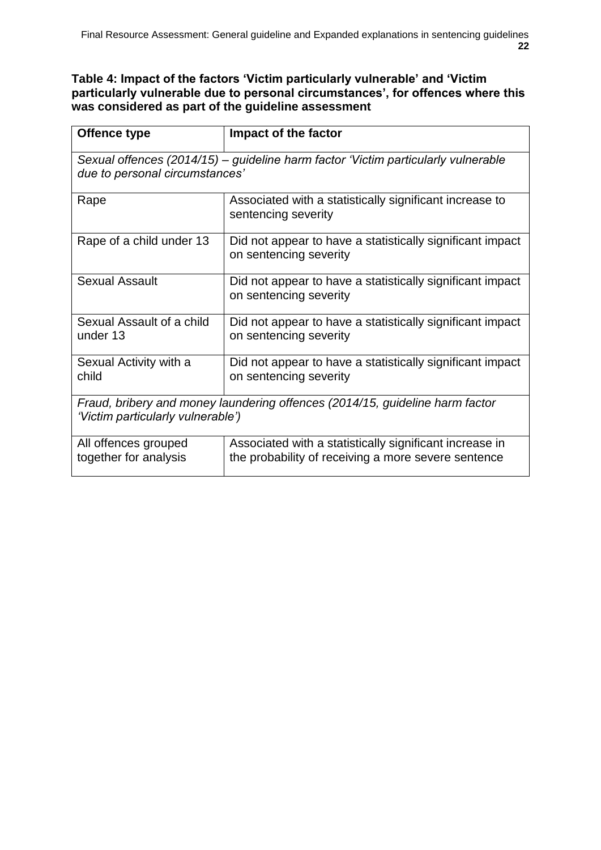**Table 4: Impact of the factors 'Victim particularly vulnerable' and 'Victim particularly vulnerable due to personal circumstances', for offences where this was considered as part of the guideline assessment**

| Offence type                                                                                                        | Impact of the factor                                                                                           |  |
|---------------------------------------------------------------------------------------------------------------------|----------------------------------------------------------------------------------------------------------------|--|
| Sexual offences (2014/15) – guideline harm factor 'Victim particularly vulnerable<br>due to personal circumstances' |                                                                                                                |  |
| Rape                                                                                                                | Associated with a statistically significant increase to<br>sentencing severity                                 |  |
| Rape of a child under 13                                                                                            | Did not appear to have a statistically significant impact<br>on sentencing severity                            |  |
| <b>Sexual Assault</b>                                                                                               | Did not appear to have a statistically significant impact<br>on sentencing severity                            |  |
| Sexual Assault of a child<br>under 13                                                                               | Did not appear to have a statistically significant impact<br>on sentencing severity                            |  |
| Sexual Activity with a<br>child                                                                                     | Did not appear to have a statistically significant impact<br>on sentencing severity                            |  |
| Fraud, bribery and money laundering offences (2014/15, guideline harm factor<br>'Victim particularly vulnerable')   |                                                                                                                |  |
| All offences grouped<br>together for analysis                                                                       | Associated with a statistically significant increase in<br>the probability of receiving a more severe sentence |  |